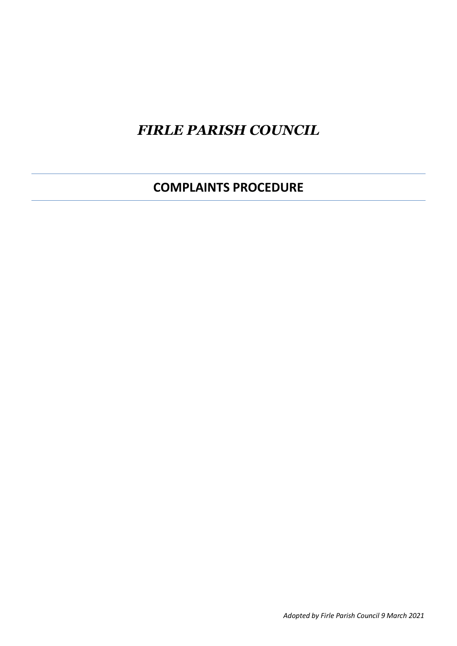# *FIRLE PARISH COUNCIL*

**COMPLAINTS PROCEDURE**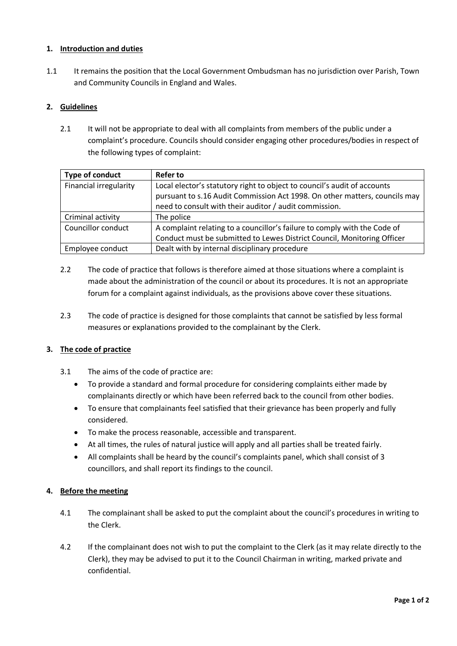### **1. Introduction and duties**

1.1 It remains the position that the Local Government Ombudsman has no jurisdiction over Parish, Town and Community Councils in England and Wales.

## **2. Guidelines**

2.1 It will not be appropriate to deal with all complaints from members of the public under a complaint's procedure. Councils should consider engaging other procedures/bodies in respect of the following types of complaint:

| Type of conduct        | <b>Refer to</b>                                                            |
|------------------------|----------------------------------------------------------------------------|
| Financial irregularity | Local elector's statutory right to object to council's audit of accounts   |
|                        | pursuant to s.16 Audit Commission Act 1998. On other matters, councils may |
|                        | need to consult with their auditor / audit commission.                     |
| Criminal activity      | The police                                                                 |
| Councillor conduct     | A complaint relating to a councillor's failure to comply with the Code of  |
|                        | Conduct must be submitted to Lewes District Council, Monitoring Officer    |
| Employee conduct       | Dealt with by internal disciplinary procedure                              |

- 2.2 The code of practice that follows is therefore aimed at those situations where a complaint is made about the administration of the council or about its procedures. It is not an appropriate forum for a complaint against individuals, as the provisions above cover these situations.
- 2.3 The code of practice is designed for those complaints that cannot be satisfied by less formal measures or explanations provided to the complainant by the Clerk.

### **3. The code of practice**

- 3.1 The aims of the code of practice are:
	- To provide a standard and formal procedure for considering complaints either made by complainants directly or which have been referred back to the council from other bodies.
	- To ensure that complainants feel satisfied that their grievance has been properly and fully considered.
	- To make the process reasonable, accessible and transparent.
	- At all times, the rules of natural justice will apply and all parties shall be treated fairly.
	- All complaints shall be heard by the council's complaints panel, which shall consist of 3 councillors, and shall report its findings to the council.

### **4. Before the meeting**

- 4.1 The complainant shall be asked to put the complaint about the council's procedures in writing to the Clerk.
- 4.2 If the complainant does not wish to put the complaint to the Clerk (as it may relate directly to the Clerk), they may be advised to put it to the Council Chairman in writing, marked private and confidential.